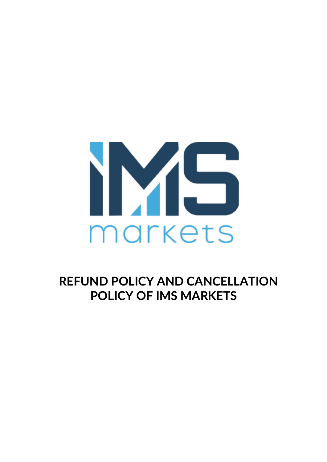

**REFUND POLICY AND CANCELLATION POLICY OF IMS MARKETS**